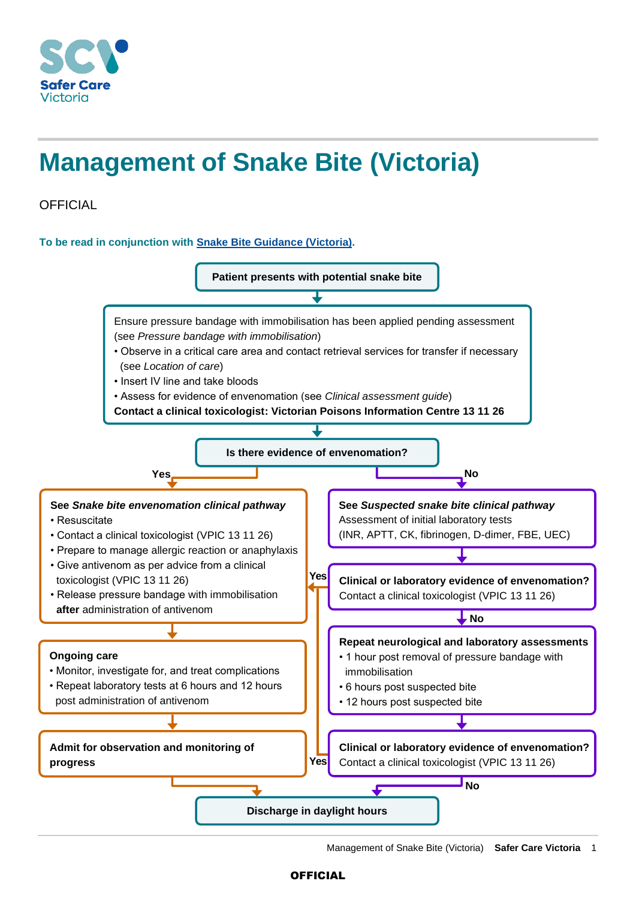

## **Management of Snake Bite (Victoria)**

**OFFICIAL** 

## **To be read in conjunction with [Snake Bite Guidance \(Victoria\).](https://www.bettersafercare.vic.gov.au/clinical-guidance/emergency/management-of-snake-bite)**



Management of Snake Bite (Victoria) **Safer Care Victoria** 1